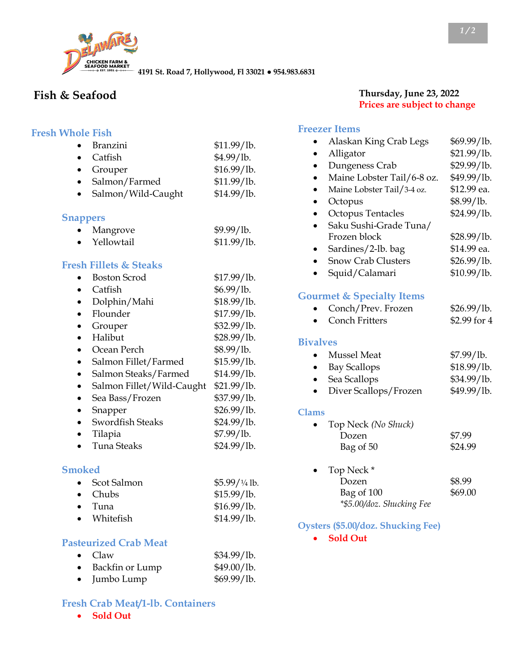

**4191 St. Road 7, Hollywood, Fl 33021 ● 954.983.6831**

# **Fish & Seafood**

#### **Fresh Whole Fish**

| <b>Branzini</b>                   | \$11.99/lb. |
|-----------------------------------|-------------|
| Catfish                           | \$4.99/lb.  |
| Grouper                           | \$16.99/lb. |
| Salmon/Farmed                     | \$11.99/lb. |
| Salmon/Wild-Caught                | \$14.99/lb. |
| <b>Snappers</b>                   |             |
| Mangrove                          | \$9.99/lb.  |
| Yellowtail                        | \$11.99/lb. |
| <b>Fresh Fillets &amp; Steaks</b> |             |
| <b>Boston Scrod</b>               | \$17.99/lb. |
| Catfish                           | \$6.99/lb.  |
| Dolphin/Mahi                      | \$18.99/lb. |
| Flounder                          | \$17.99/lb. |
| Grouper                           | \$32.99/lb. |
| Halibut                           | \$28.99/lb. |
| Ocean Perch                       | \$8.99/lb.  |
| Salmon Fillet/Farmed<br>$\bullet$ | \$15.99/1b. |
| Salmon Steaks/Farmed              | \$14.99/lb. |
| Salmon Fillet/Wild-Caught         | \$21.99/lb. |
| Sea Bass/Frozen                   | \$37.99/lb. |
| Snapper                           | \$26.99/lb. |
| <b>Swordfish Steaks</b>           | \$24.99/lb. |
| Tilapia                           | \$7.99/lb.  |
| Tuna Steaks                       | \$24.99/lb. |

#### **Smoked**

| • Scot Salmon   | $$5.99/1/4$ lb. |
|-----------------|-----------------|
| $\bullet$ Chubs | \$15.99/1b.     |
| $\bullet$ Tuna  | \$16.99/lb.     |
| • Whitefish     | \$14.99/lb.     |

#### **Pasteurized Crab Meat**

| $\bullet$ Claw       | \$34.99/lb. |
|----------------------|-------------|
| • Backfin or Lump    | \$49.00/lb. |
| $\bullet$ Jumbo Lump | \$69.99/lb. |

#### **Fresh Crab Meat/1-lb. Containers**

• **Sold Out**

#### **Thursday, June 23, 2022 Prices are subject to change**

# **Freezer Items**

|                 | neezer ltems                         |              |
|-----------------|--------------------------------------|--------------|
|                 | Alaskan King Crab Legs               | \$69.99/lb.  |
|                 | Alligator                            | \$21.99/lb.  |
|                 | Dungeness Crab                       | \$29.99/lb.  |
|                 | Maine Lobster Tail/6-8 oz.           | \$49.99/lb.  |
| $\bullet$       | Maine Lobster Tail/3-4 oz.           | \$12.99 ea.  |
|                 | Octopus                              | \$8.99/lb.   |
|                 | <b>Octopus Tentacles</b>             | \$24.99/lb.  |
|                 | Saku Sushi-Grade Tuna/               |              |
|                 | Frozen block                         | \$28.99/lb.  |
|                 | Sardines/2-lb. bag                   | \$14.99 ea.  |
|                 | <b>Snow Crab Clusters</b>            | \$26.99/lb.  |
|                 | Squid/Calamari                       | \$10.99/lb.  |
|                 | <b>Gourmet &amp; Specialty Items</b> |              |
|                 | Conch/Prev. Frozen                   | \$26.99/lb.  |
|                 | <b>Conch Fritters</b>                | \$2.99 for 4 |
| <b>Bivalves</b> |                                      |              |
|                 | <b>Mussel</b> Meat                   | \$7.99/lb.   |
|                 | <b>Bay Scallops</b>                  | \$18.99/lb.  |
|                 | Sea Scallops                         | \$34.99/lb.  |
|                 | Diver Scallops/Frozen                | \$49.99/lb.  |
| <b>Clams</b>    |                                      |              |
|                 | Top Neck (No Shuck)                  |              |
|                 | Dozen                                | \$7.99       |
|                 | Bag of 50                            | \$24.99      |
|                 | Top Neck *                           |              |
|                 | Dozen                                | \$8.99       |
|                 | Bag of 100                           | \$69.00      |
|                 | *\$5.00/doz. Shucking Fee            |              |

#### **Oysters (\$5.00/doz. Shucking Fee)**

• **Sold Out**